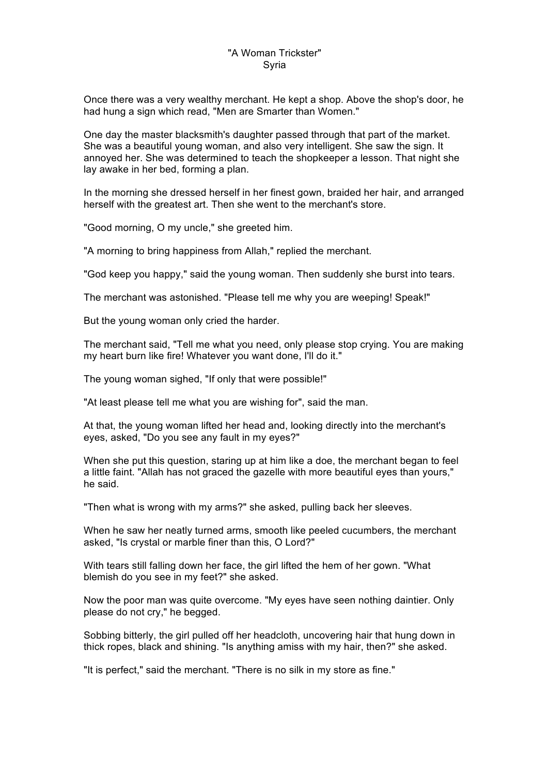## "A Woman Trickster" Syria

Once there was a very wealthy merchant. He kept a shop. Above the shop's door, he had hung a sign which read, "Men are Smarter than Women."

One day the master blacksmith's daughter passed through that part of the market. She was a beautiful young woman, and also very intelligent. She saw the sign. It annoyed her. She was determined to teach the shopkeeper a lesson. That night she lay awake in her bed, forming a plan.

In the morning she dressed herself in her finest gown, braided her hair, and arranged herself with the greatest art. Then she went to the merchant's store.

"Good morning, O my uncle," she greeted him.

"A morning to bring happiness from Allah," replied the merchant.

"God keep you happy," said the young woman. Then suddenly she burst into tears.

The merchant was astonished. "Please tell me why you are weeping! Speak!"

But the young woman only cried the harder.

The merchant said, "Tell me what you need, only please stop crying. You are making my heart burn like fire! Whatever you want done, I'll do it."

The young woman sighed, "If only that were possible!"

"At least please tell me what you are wishing for", said the man.

At that, the young woman lifted her head and, looking directly into the merchant's eyes, asked, "Do you see any fault in my eyes?"

When she put this question, staring up at him like a doe, the merchant began to feel a little faint. "Allah has not graced the gazelle with more beautiful eyes than yours," he said.

"Then what is wrong with my arms?" she asked, pulling back her sleeves.

When he saw her neatly turned arms, smooth like peeled cucumbers, the merchant asked, "Is crystal or marble finer than this, O Lord?"

With tears still falling down her face, the girl lifted the hem of her gown. "What blemish do you see in my feet?" she asked.

Now the poor man was quite overcome. "My eyes have seen nothing daintier. Only please do not cry," he begged.

Sobbing bitterly, the girl pulled off her headcloth, uncovering hair that hung down in thick ropes, black and shining. "Is anything amiss with my hair, then?" she asked.

"It is perfect," said the merchant. "There is no silk in my store as fine."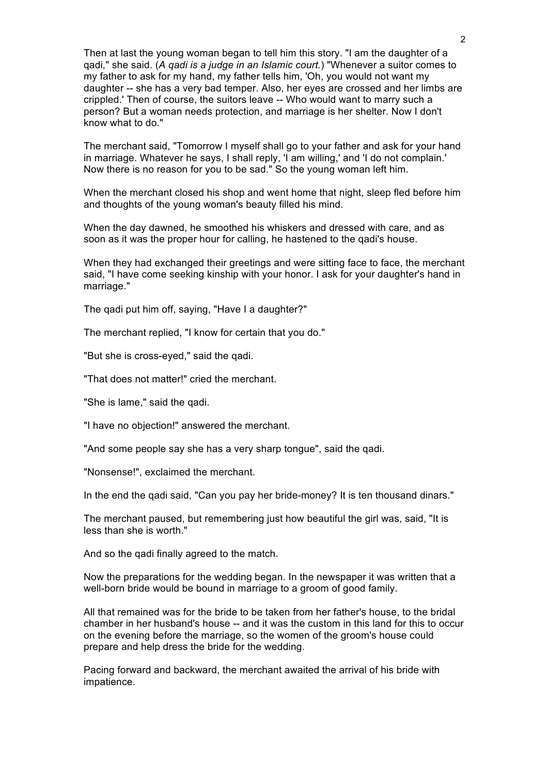Then at last the young woman began to tell him this story. "I am the daughter of a qadi*,*" she said. (*A qadi is a judge in an Islamic court.*) "Whenever a suitor comes to my father to ask for my hand, my father tells him, 'Oh, you would not want my daughter -- she has a very bad temper. Also, her eyes are crossed and her limbs are crippled.' Then of course, the suitors leave -- Who would want to marry such a person? But a woman needs protection, and marriage is her shelter. Now I don't know what to do."

The merchant said, "Tomorrow I myself shall go to your father and ask for your hand in marriage. Whatever he says, I shall reply, 'I am willing,' and 'I do not complain.' Now there is no reason for you to be sad." So the young woman left him.

When the merchant closed his shop and went home that night, sleep fled before him and thoughts of the young woman's beauty filled his mind.

When the day dawned, he smoothed his whiskers and dressed with care, and as soon as it was the proper hour for calling, he hastened to the qadi's house.

When they had exchanged their greetings and were sitting face to face, the merchant said, "I have come seeking kinship with your honor. I ask for your daughter's hand in marriage."

The qadi put him off, saying, "Have I a daughter?"

The merchant replied, "I know for certain that you do."

"But she is cross-eyed," said the qadi.

"That does not matter!" cried the merchant.

"She is lame," said the qadi.

"I have no objection!" answered the merchant.

"And some people say she has a very sharp tongue", said the qadi.

"Nonsense!", exclaimed the merchant.

In the end the qadi said, "Can you pay her bride-money? It is ten thousand dinars."

The merchant paused, but remembering just how beautiful the girl was, said, "It is less than she is worth."

And so the qadi finally agreed to the match.

Now the preparations for the wedding began. In the newspaper it was written that a well-born bride would be bound in marriage to a groom of good family.

All that remained was for the bride to be taken from her father's house, to the bridal chamber in her husband's house -- and it was the custom in this land for this to occur on the evening before the marriage, so the women of the groom's house could prepare and help dress the bride for the wedding.

Pacing forward and backward, the merchant awaited the arrival of his bride with impatience.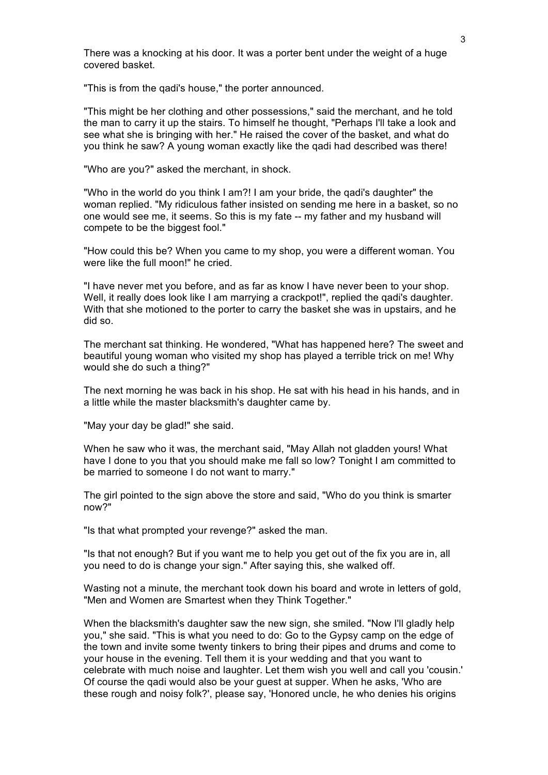There was a knocking at his door. It was a porter bent under the weight of a huge covered basket.

"This is from the qadi's house," the porter announced.

"This might be her clothing and other possessions," said the merchant, and he told the man to carry it up the stairs. To himself he thought, "Perhaps I'll take a look and see what she is bringing with her." He raised the cover of the basket, and what do you think he saw? A young woman exactly like the qadi had described was there!

"Who are you?" asked the merchant, in shock.

"Who in the world do you think I am?! I am your bride, the qadi's daughter" the woman replied. "My ridiculous father insisted on sending me here in a basket, so no one would see me, it seems. So this is my fate -- my father and my husband will compete to be the biggest fool."

"How could this be? When you came to my shop, you were a different woman. You were like the full moon!" he cried.

"I have never met you before, and as far as know I have never been to your shop. Well, it really does look like I am marrying a crackpot!", replied the gadi's daughter. With that she motioned to the porter to carry the basket she was in upstairs, and he did so.

The merchant sat thinking. He wondered, "What has happened here? The sweet and beautiful young woman who visited my shop has played a terrible trick on me! Why would she do such a thing?"

The next morning he was back in his shop. He sat with his head in his hands, and in a little while the master blacksmith's daughter came by.

"May your day be glad!" she said.

When he saw who it was, the merchant said, "May Allah not gladden yours! What have I done to you that you should make me fall so low? Tonight I am committed to be married to someone I do not want to marry."

The girl pointed to the sign above the store and said, "Who do you think is smarter now?"

"Is that what prompted your revenge?" asked the man.

"Is that not enough? But if you want me to help you get out of the fix you are in, all you need to do is change your sign." After saying this, she walked off.

Wasting not a minute, the merchant took down his board and wrote in letters of gold, "Men and Women are Smartest when they Think Together."

When the blacksmith's daughter saw the new sign, she smiled. "Now I'll gladly help you," she said. "This is what you need to do: Go to the Gypsy camp on the edge of the town and invite some twenty tinkers to bring their pipes and drums and come to your house in the evening. Tell them it is your wedding and that you want to celebrate with much noise and laughter. Let them wish you well and call you 'cousin.' Of course the qadi would also be your guest at supper. When he asks, 'Who are these rough and noisy folk?', please say, 'Honored uncle, he who denies his origins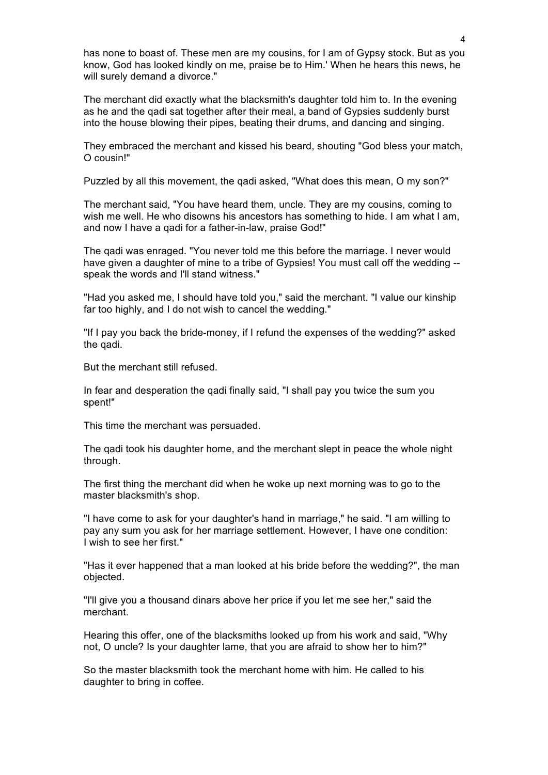has none to boast of. These men are my cousins, for I am of Gypsy stock. But as you know, God has looked kindly on me, praise be to Him.' When he hears this news, he will surely demand a divorce."

The merchant did exactly what the blacksmith's daughter told him to. In the evening as he and the qadi sat together after their meal, a band of Gypsies suddenly burst into the house blowing their pipes, beating their drums, and dancing and singing.

They embraced the merchant and kissed his beard, shouting "God bless your match, O cousin!"

Puzzled by all this movement, the qadi asked, "What does this mean, O my son?"

The merchant said, "You have heard them, uncle. They are my cousins, coming to wish me well. He who disowns his ancestors has something to hide. I am what I am, and now I have a qadi for a father-in-law, praise God!"

The qadi was enraged. "You never told me this before the marriage. I never would have given a daughter of mine to a tribe of Gypsies! You must call off the wedding -speak the words and I'll stand witness."

"Had you asked me, I should have told you," said the merchant. "I value our kinship far too highly, and I do not wish to cancel the wedding."

"If I pay you back the bride-money, if I refund the expenses of the wedding?" asked the qadi.

But the merchant still refused.

In fear and desperation the qadi finally said, "I shall pay you twice the sum you spent!"

This time the merchant was persuaded.

The qadi took his daughter home, and the merchant slept in peace the whole night through.

The first thing the merchant did when he woke up next morning was to go to the master blacksmith's shop.

"I have come to ask for your daughter's hand in marriage," he said. "I am willing to pay any sum you ask for her marriage settlement. However, I have one condition: I wish to see her first."

"Has it ever happened that a man looked at his bride before the wedding?", the man objected.

"I'll give you a thousand dinars above her price if you let me see her," said the merchant.

Hearing this offer, one of the blacksmiths looked up from his work and said, "Why not, O uncle? Is your daughter lame, that you are afraid to show her to him?"

So the master blacksmith took the merchant home with him. He called to his daughter to bring in coffee.